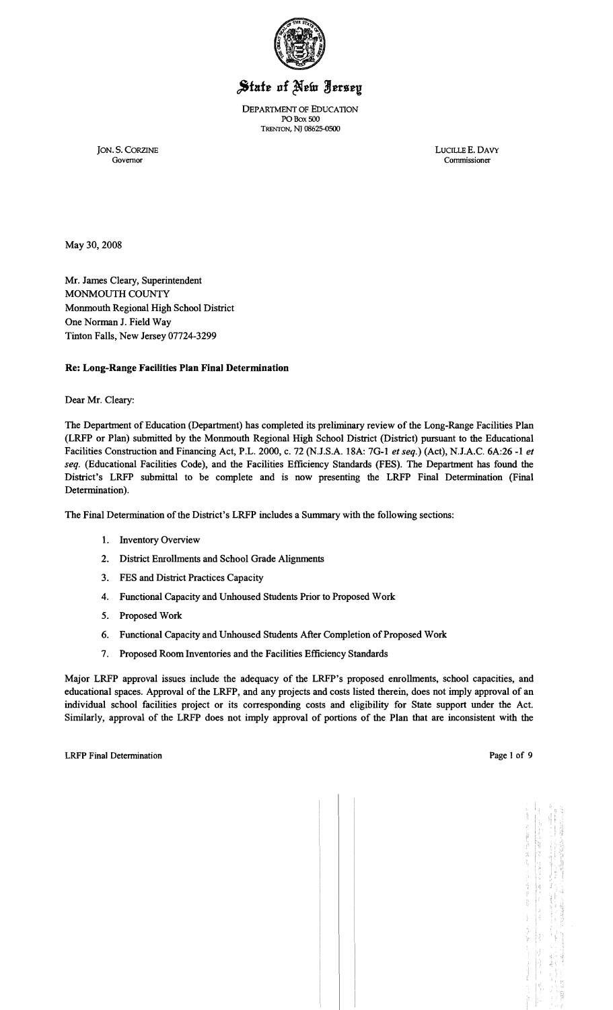

# State of New Jersey

DEPARTMENT OF EDUCATION PO Box 500 TRENTON, NJ 08625-0500

JON. S. CORZINE LUCILLE E. DAVY Commissioner

May 30,2008

Mr. James Cleary, Superintendent MONMOUTH COUNTY Monmouth Regional High School District One Norman J. Field Way Tinton Falls, New Jersey 07724-3299

## Re: Long-Range Facilities Plan Final Determination

Dear Mr. Cleary:

The Department of Education (Department) has completed its preliminary review of the Long-Range Facilities Plan (LRFP or Plan) submitted by the Monmouth Regional High School District (District) pursuant to the Educational Facilities Construction and Financing Act, P.L. 2000, c. 72 (NJ.S.A. 18A: 7G-l *et seq.)* (Act), N.J.A.C. 6A:26 -1 *et seq.* (Educational Facilities Code), and the Facilities Efficiency Standards (FES). The Department has found the District's LRFP submittal to be complete and is now presenting the LRFP Final Determination (Final Determination).

The Final Determination of the District's LRFP includes a Summary with the following sections:

- 1. Inventory Overview
- 2. District Enrollments and School Grade Alignments
- 3. FES and District Practices Capacity
- 4. Functional Capacity and Unhoused Students Prior to Proposed Work
- 5. Proposed Work
- 6. Functional Capacity and Unhoused Students After Completion of Proposed Work
- 7. Proposed Room Inventories and the Facilities Efficiency Standards

Major LRFP approval issues include the adequacy of the LRFP's proposed enrollments, school capacities, and educational spaces. Approval of the LRFP, and any projects and costs listed therein, does not imply approval of an individual school facilities project or its corresponding costs and eligibility for State support under the Act. Similarly, approval of the LRFP does not imply approval of portions of the Plan that are inconsistent with the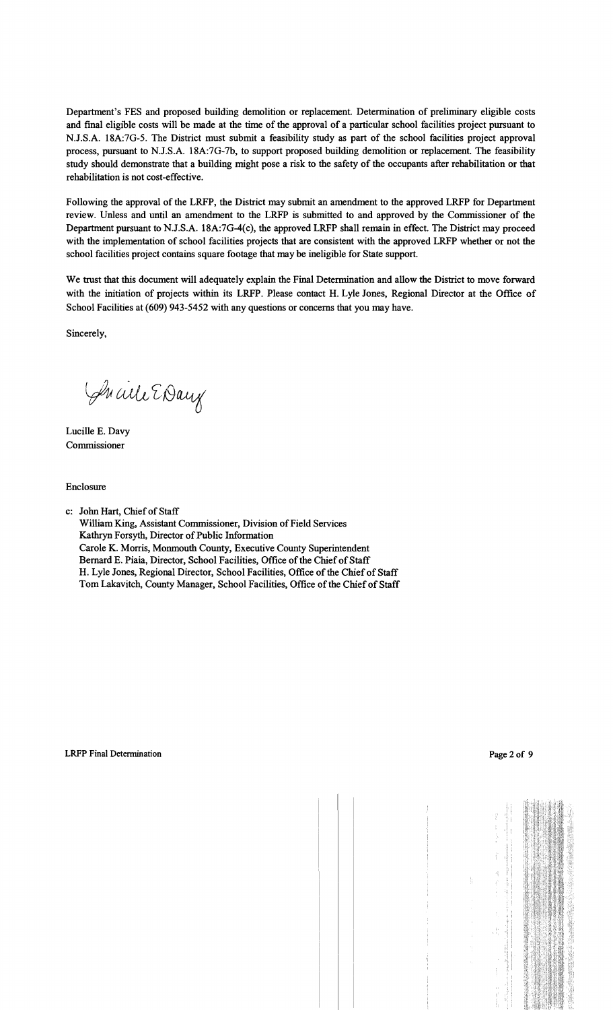Department's FES and proposed building demolition or replacement. Determination of preliminary eligible costs and final eligible costs will be made at the time of the approval of a particular school facilities project pursuant to N.J.S.A. 18A:7G-5. The District must submit a feasibility study as part of the school facilities project approval process, pursuant to N.J.S.A. 18A:7G-7b, to support proposed building demolition or replacement. The feasibility study should demonstrate that a building might pose a risk to the safety of the occupants after rehabilitation or that rehabilitation is not cost-effective.

Following the approval of the LRFP, the District may submit an amendment to the approved LRFP for Department review. Unless and until an amendment to the LRFP is submitted to and approved by the Commissioner of the Department pursuant to N.J.S.A. 18A:7G-4(c), the approved LRFP shall remain in effect. The District may proceed with the implementation of school facilities projects that are consistent with the approved LRFP whether or not the school facilities project contains square footage that may be ineligible for State support.

We trust that this document will adequately explain the Final Determination and allow the District to move forward with the initiation of projects within its LRFP. Please contact H. Lyle Jones, Regional Director at the Office of School Facilities at (609) 943-5452 with any questions or concerns that you may have.

Sincerely,

Sucile EDay

Lucille E. Davy Commissioner

Enclosure

c: John Hart, Chief of Staff William King, Assistant Commissioner, Division of Field Services Kathryn Forsyth, Director of Public Information Carole K. Morris, Monmouth County, Executive County Superintendent Bernard E. Piaia, Director, School Facilities, Office of the Chief of Staff H. Lyle Jones, Regional Director, School Facilities, Office of the Chief of Staff Tom Lakavitch, County Manager, School Facilities, Office of the Chief of Staff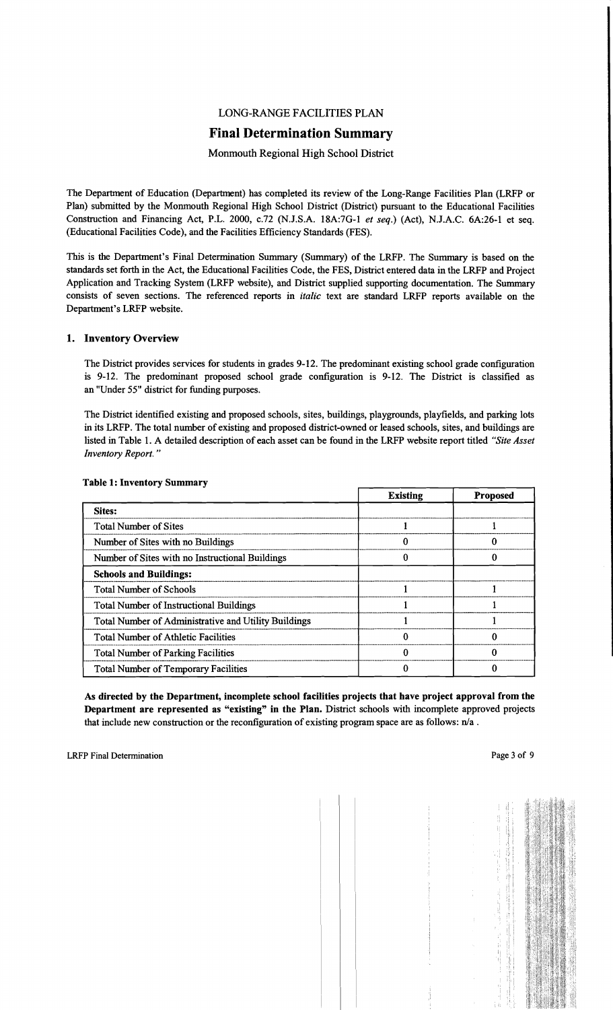## LONG-RANGE FACILITIES PLAN

## **Final Determination Summary**

## Monmouth Regional High School District

The Department of Education (Department) has completed its review of the Long-Range Facilities Plan (LRFP or Plan) submitted by the Monmouth Regional High School District (District) pursuant to the Educational Facilities Construction and Financing Act, P.L. 2000, c.72 (N.J.S.A. 18A:7G-I *et seq.)* (Act), N.J.A.C. 6A:26-1 et seq. (Educational Facilities Code), and the Facilities Efficiency Standards (FES).

This is the Department's Final Determination Summary (Summary) of the LRFP. The Summary is based on the standards set forth in the Act, the Educational Facilities Code, the FES, District entered data in the LRFP and Project Application and Tracking System (LRFP website), and District supplied supporting documentation. The Summary consists of seven sections. The referenced reports in *italic* text are standard LRFP reports available on the Department's LRFP website.

## 1. Inventory Overview

The District provides services for students in grades 9-12. The predominant existing school grade configuration is 9-12. The predominant proposed school grade configuration is 9-12. The District is classified as an "Under 55" district for funding purposes.

The District identified existing and proposed schools, sites, buildings, playgrounds, playfields, and parking lots in its LRFP. The total number of existing and proposed district-owned or leased schools, sites, and buildings are listed in Table I. A detailed description of each asset can be found in the LRFP website report titled *"Site Asset Inventory Report. "* 

|                                                      | <b>Existing</b> | <b>Proposed</b> |
|------------------------------------------------------|-----------------|-----------------|
| Sites:                                               |                 |                 |
| <b>Total Number of Sites</b>                         |                 |                 |
| Number of Sites with no Buildings                    |                 |                 |
| Number of Sites with no Instructional Buildings      |                 |                 |
| <b>Schools and Buildings:</b>                        |                 |                 |
| <b>Total Number of Schools</b>                       |                 |                 |
| <b>Total Number of Instructional Buildings</b>       |                 |                 |
| Total Number of Administrative and Utility Buildings |                 |                 |
| <b>Total Number of Athletic Facilities</b>           |                 |                 |
| <b>Total Number of Parking Facilities</b>            |                 |                 |
| <b>Total Number of Temporary Facilities</b>          |                 |                 |

#### Table 1: Inventory Summary

As directed by the Department, incomplete school facilities projects that have project approval from the Department are represented as "existing" in the Plan. District schools with incomplete approved projects that include new construction or the reconfiguration of existing program space are as follows:  $n/a$ .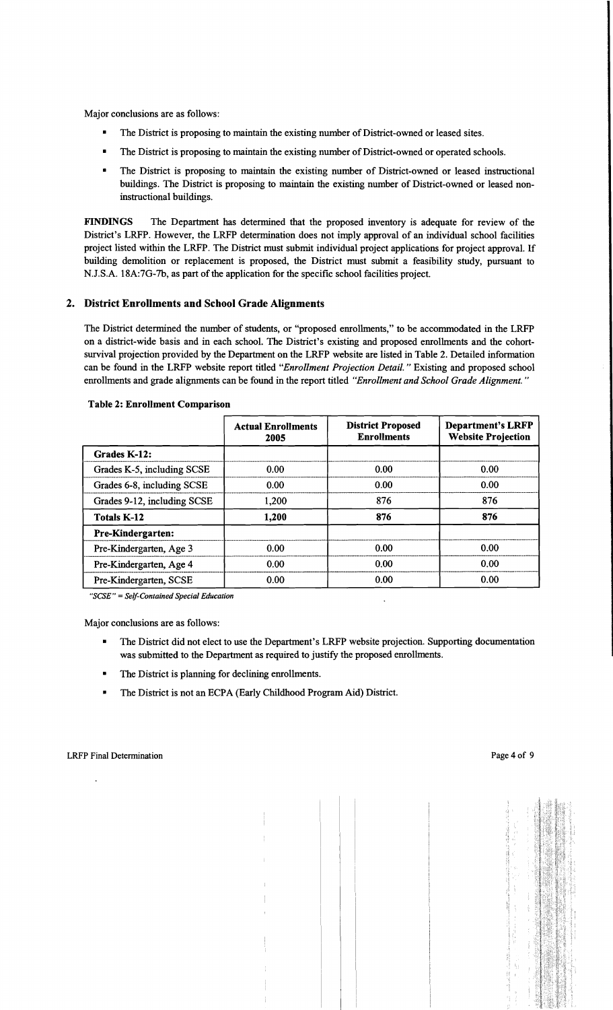Major conclusions are as follows:

- The District is proposing to maintain the existing number of District-owned or leased sites.
- The District is proposing to maintain the existing number of District-owned or operated schools.
- The District is proposing to maintain the existing number of District-owned or leased instructional buildings. The District is proposing to maintain the existing number of District-owned or leased noninstructional buildings.

FINDINGS The Department has determined that the proposed inventory is adequate for review of the District's LRFP. However, the LRFP determination does not imply approval of an individual school facilities project listed within the LRFP. The District must submit individual project applications for project approval. If building demolition or replacement is proposed, the District must submit a feasibility study, pursuant to N.J.S.A. 18A:7G-7b, as part of the application for the specific school facilities project.

## 2. District Enrollments and School Grade Alignments

The District determined the number of students, or "proposed enrollments," to be accommodated in the LRFP on a district-wide basis and in each school. The District's existing and proposed enrollments and the cohortsurvival projection provided by the Department on the LRFP website are listed in Table 2. Detailed information can be found in the LRFP website report titled *"Enrollment Projection Detail."* Existing and proposed school enrollments and grade alignments can be found in the report titled *"Enrollment and School Grade Alignment. "* 

|                             | <b>Actual Enrollments</b><br>2005 | <b>District Proposed</b><br><b>Enrollments</b> | <b>Department's LRFP</b><br><b>Website Projection</b> |
|-----------------------------|-----------------------------------|------------------------------------------------|-------------------------------------------------------|
| Grades K-12:                |                                   |                                                |                                                       |
| Grades K-5, including SCSE  | 0.00                              | 0.00                                           | 0.00                                                  |
| Grades 6-8, including SCSE  | 0.00                              | 0.00                                           | 0.00                                                  |
| Grades 9-12, including SCSE | 1,200                             | 876                                            | 876                                                   |
| <b>Totals K-12</b>          | 1,200                             | 876                                            | 876                                                   |
| <b>Pre-Kindergarten:</b>    |                                   |                                                |                                                       |
| Pre-Kindergarten, Age 3     | 0.00                              | 0.00                                           | 0.00                                                  |
| Pre-Kindergarten, Age 4     | 0.00                              | 0.00                                           | 0.00                                                  |
| Pre-Kindergarten, SCSE      | 0.00                              | 0.00                                           | 0.00                                                  |

#### Table 2: Enrollment Comparison

*"SCSE"* = *Self-Contained Special Education* 

Major conclusions are as follows:

- The District did not elect to use the Department's LRFP website projection. Supporting documentation was submitted to the Department as required to justify the proposed enrollments.
- The District is planning for declining enrollments.
- • The District is not an ECPA (Early Childhood Program Aid) District.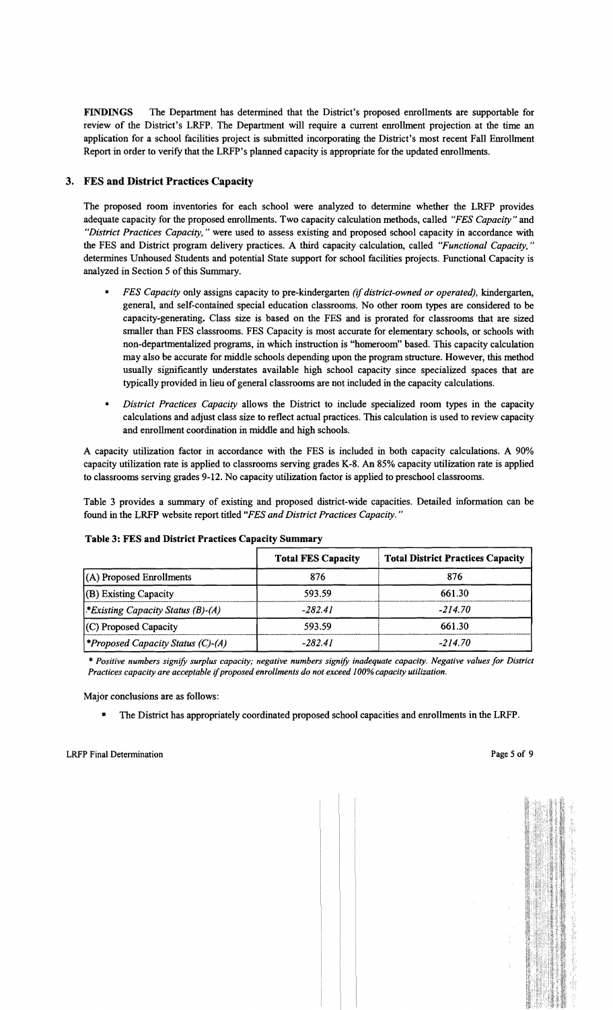FINDINGS The Department has determined that the District's proposed enrollments are supportable for review of the District's LRFP. The Department will require a current enrollment projection, at the time an application for a school facilities project is submitted incorporating the District's most recent Fall Enrollment Report in order to verify that the LRFP's planned capacity is appropriate for the updated enrollments.

## 3. FES and District Practices Capacity

The proposed room inventories for each school were analyzed to determine whether the LRFP provides adequate capacity for the proposed enrollments. Two capacity calculation methods, called *"FES Capacity"* and *"District Practices Capacity,"* were used to assess existing and proposed school capacity in accordance with the FES and District program delivery practices. A third capacity calculation, called *"Functional Capacity, "*  determines Unhoused Students and potential State support for school facilities projects. Functional Capacity is analyzed in Section 5 of this Summary.

- *FES Capacity only assigns capacity to pre-kindergarten <i>(if district-owned or operated)*, *kindergarten*, general, and self-contained special education classrooms. No other room types are considered to be capacity-generating. Class size is based on the FES and is prorated for classrooms that are sized smaller than FES classrooms. FES Capacity is most accurate for elementary schools, or schools with non-departmentalized programs, in which instruction is "homeroom" based. This capacity calculation may also be accurate for middle schools depending upon the program structure. However, this method usually significantly understates available high school capacity since specialized spaces that are typically provided in lieu ofgeneral classrooms are not included in the capacity calculations.
- *District Practices Capacity allows the District to include specialized room types in the capacity* calculations and adjust class size to reflect actual practices. This calculation is used to review capacity and enrollment coordination in middle and high schools.

A capacity utilization factor in accordance with the FES is included in both capacity calculations. A 90% capacity utilization rate is applied to classrooms serving grades K-8. An 85% capacity utilization rate is applied to classrooms serving grades 9-12. No capacity utilization factor is applied to preschool classrooms.

Table 3 provides a summary of existing and proposed district-wide capacities. Detailed information can be found in the LRFP website report titled *"FES and District Practices Capacity. "* 

|                                                 | <b>Total FES Capacity</b> | <b>Total District Practices Capacity</b> |
|-------------------------------------------------|---------------------------|------------------------------------------|
| $(A)$ Proposed Enrollments                      | 876                       | 876                                      |
| (B) Existing Capacity                           | 593.59                    | 661.30                                   |
| <i>Existing Capacity Status (B)-(A)</i>         | $-282.41$                 | $-214.70$                                |
| $(C)$ Proposed Capacity                         | 593.59                    | 661.30                                   |
| <i><b>*Proposed Capacity Status (C)-(A)</b></i> | $-282.41$                 | $-214.70$                                |

## Table 3: FES and District Practices Capacity Summary

\* *Positive numbers signify surplus capacity; negative numbers signify inadequate capacity. Negative values for District Practices capacity are acceptable* if*proposed enrollments do not exceed 100% capacity utilization.* 

Major conclusions are as follows:

• The District has appropriately coordinated proposed school capacities and enrollments in the LRFP.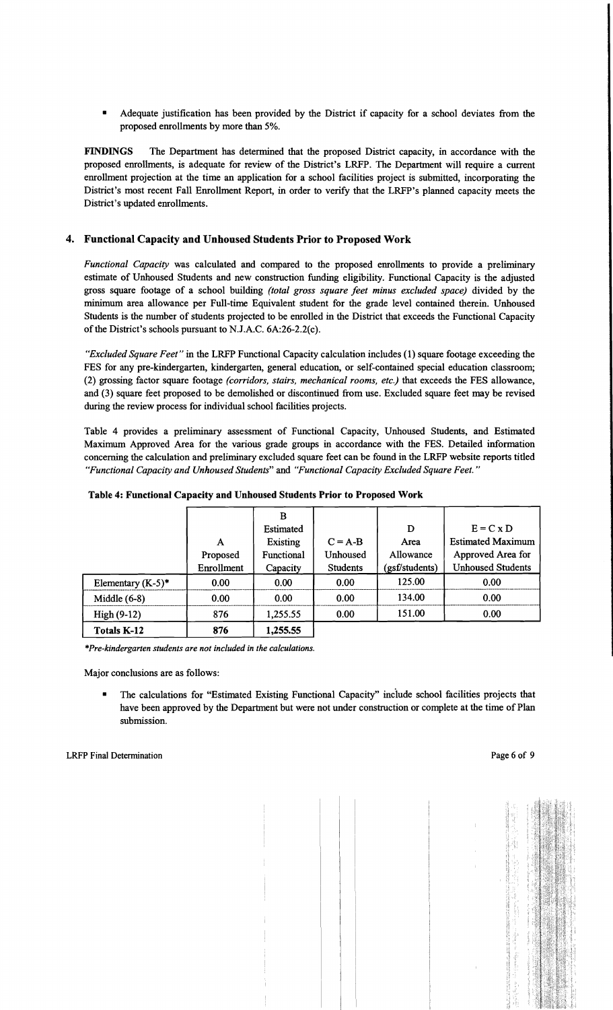Adequate justification has been provided by the District if capacity for a school deviates from the proposed enrollments by more than 5%.

FINDINGS The Department has determined that the proposed District capacity, in accordance with the proposed enrollments, is adequate for review of the District's LRFP. The Department will require a current enrollment projection at the time an application for a school facilities project is submitted, incorporating the District's most recent Fall Enrollment Report, in order to verify that the LRFP's planned capacity meets the District's updated enrollments.

## 4. Functional Capacity and Unhoused Students Prior to Proposed Work

*Functional Capacity* was calculated and compared to the proposed enrollments to provide a preliminary estimate of Unhoused Students and new construction funding eligibility. Functional Capacity is the adjusted gross square footage of a school building *(total gross square feet minus excluded space)* divided by the minimum area allowance per Full-time Equivalent student for the grade level contained therein. Unhoused Students is the number of students projected to be enrolled in the District that exceeds the Functional Capacity of the District's schools pursuant to N.J.A.C. 6A:26-2.2(c).

*"Excluded Square Feet"* in the LRFP Functional Capacity calculation includes (1) square footage exceeding the FES for any pre-kindergarten, kindergarten, general education, or self-contained special education classroom; (2) grossing factor square footage *(corridors, stairs, mechanical rooms, etc.)* that exceeds the FES allowance, and (3) square feet proposed to be demolished or discontinued from use. Excluded square feet may be revised during the review process for individual school facilities projects.

Table 4 provides a preliminary assessment of Functional Capacity, Unhoused Students, and Estimated Maximum Approved Area for the various grade groups in accordance with the FES. Detailed information concerning the calculation and preliminary excluded square feet can be found in the LRFP website reports titled *"Functional Capacity and Unhoused Students"* and *"Functional Capacity Excluded Square Feet. "* 

|                      |            | в               |           |                |                          |
|----------------------|------------|-----------------|-----------|----------------|--------------------------|
|                      |            | Estimated       |           | D              | $E = C x D$              |
|                      | A          | <b>Existing</b> | $C = A-B$ | Area           | <b>Estimated Maximum</b> |
|                      | Proposed   | Functional      | Unhoused  | Allowance      | Approved Area for        |
|                      | Enrollment | Capacity        | Students  | (gsf/students) | <b>Unhoused Students</b> |
| Elementary $(K-5)^*$ | 0.00       | 0.00            | 0.00      | 125.00         | 0.00                     |
| Middle $(6-8)$       | 0.00       | 0.00            | 0.00      | 134.00         | 0.00                     |
| $High(9-12)$         | 876        | 1,255.55        | 0.00      | 151.00         | 0.00                     |
| <b>Totals K-12</b>   | 876        | 1,255.55        |           |                |                          |

*\*Pre-kindergarten students are not included in the calculations.* 

Major conclusions are as follows:

• The calculations for "Estimated Existing Functional Capacity" inciude school facilities projects that have been approved by the Department but were not under construction or complete at the time of Plan submission.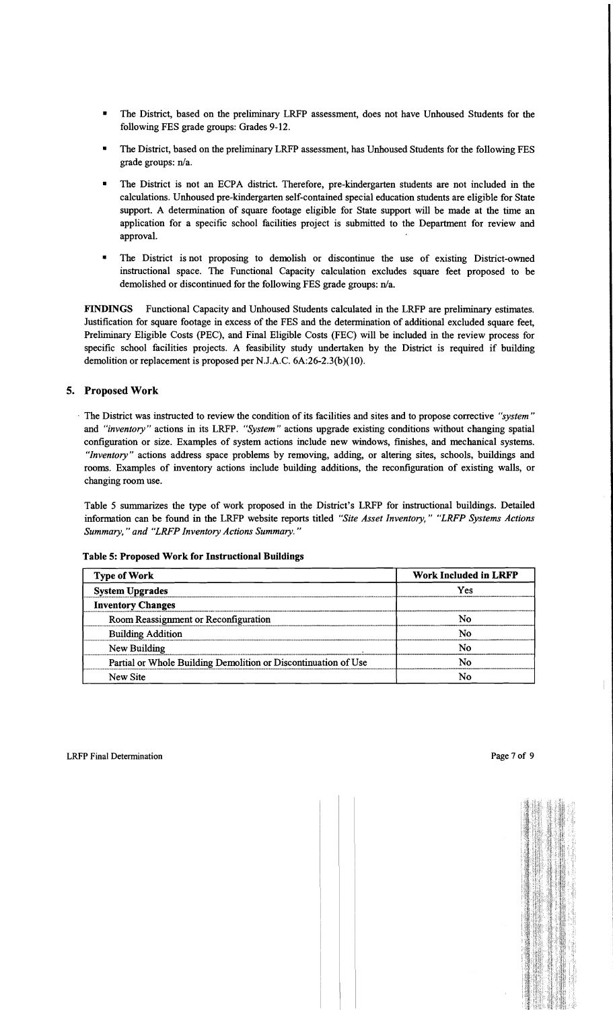- The District, based on the preliminary LRFP assessment, does not have Unhoused Students for the following FES grade groups: Grades 9-12.
- The District, based on the preliminary LRFP assessment, has Unhoused Students for the following FES grade groups: n/a.
- The District is not an ECPA district. Therefore, pre-kindergarten students are not included in the calculations. Unhoused pre-kindergarten self-contained special education students are eligible for State support. A determination of square footage eligible for State support will be made at the time an application for a specific school facilities project is submitted to the Department for review and approval.
- The District is not proposing to demolish or discontinue the use of existing District-owned instructional space. The Functional Capacity calculation excludes square feet proposed to be demolished or discontinued for the following FES grade groups: n/a.

FINDINGS Functional Capacity and Unhoused Students calculated in the LRFP are preliminary estimates. Justification for square footage in excess of the FES and the determination of additional excluded square feet, Preliminary Eligible Costs (PEC), and Final Eligible Costs (FEC) will be included in the review process for specific school facilities projects. A feasibility study undertaken by the District is required if building demolition or replacement is proposed per NJ.A.C. 6A:26-2.3(b)(10).

## 5. Proposed Work

. The District was instructed to review the condition of its facilities and sites and to propose corrective *"system"*  and *"inventory"* actions in its LRFP. *"System"* actions upgrade existing conditions without changing spatial configuration or size. Examples of system actions include new windows, finishes, and mechanical systems. *"Inventory"* actions address space problems by removing, adding, or altering sites, schools, buildings and rooms. Examples of inventory actions include building additions, the reconfiguration of existing walls, or changing room use.

Table 5 summarizes the type of work proposed in the District's LRFP for instructional buildings. Detailed information can be found in the LRFP website reports titled *"Site Asset Inventory," "LRFP Systems Actions Summary,* " *and "LRFP Inventory Actions Summary. "* 

|  |  |  |  | Table 5: Proposed Work for Instructional Buildings |  |
|--|--|--|--|----------------------------------------------------|--|
|--|--|--|--|----------------------------------------------------|--|

| <b>Type of Work</b>                                            | <b>Work Included in LRFP</b> |  |  |
|----------------------------------------------------------------|------------------------------|--|--|
| <b>System Upgrades</b>                                         | Yes                          |  |  |
| <b>Inventory Changes</b>                                       |                              |  |  |
| Room Reassignment or Reconfiguration                           | No                           |  |  |
| <b>Building Addition</b>                                       | No                           |  |  |
| New Building                                                   | N٥                           |  |  |
| Partial or Whole Building Demolition or Discontinuation of Use | No                           |  |  |
| New Site                                                       | No                           |  |  |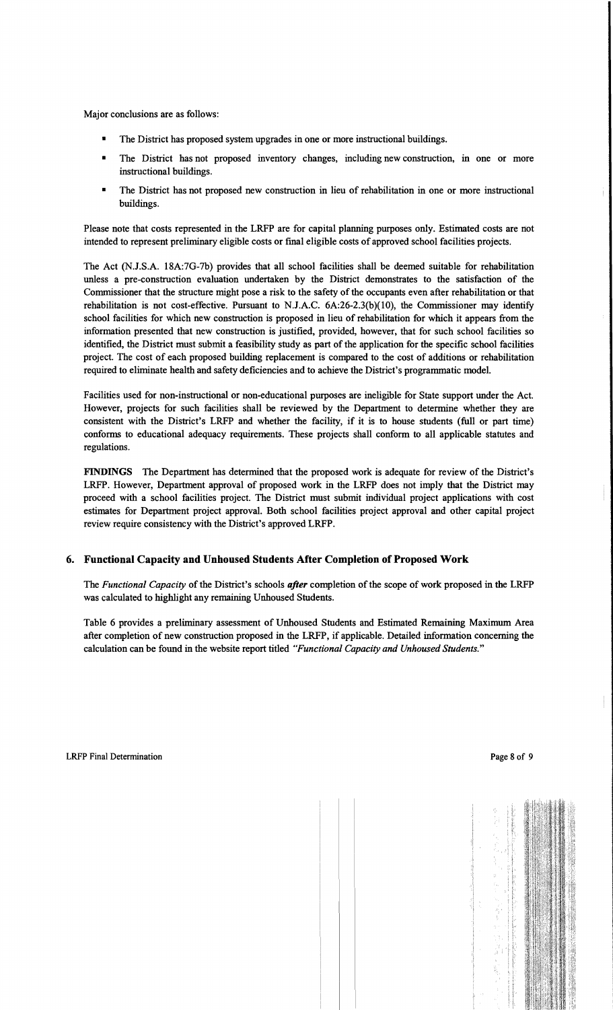Major conclusions are as follows:

- The District has proposed system upgrades in one or more instructional buildings.
- The District has not proposed inventory changes, including new construction, in one or more instructional buildings.
- The District has not proposed new construction in lieu of rehabilitation in one or more instructional buildings.

Please note that costs represented in the LRFP are for capital planning purposes only. Estimated costs are not intended to represent preliminary eligible costs or fmal eligible costs of approved school facilities projects.

The Act (N.l.S.A. 18A:7G-7b) provides that all school facilities shall be deemed suitable for rehabilitation unless a pre-construction evaluation undertaken by the District demonstrates to the satisfaction of the Commissioner that the structure might pose a risk to the safety of the occupants even after rehabilitation or that rehabilitation is not cost-effective. Pursuant to N.l.A.C. 6A:26-2.3(b)(10), the Commissioner may identify school facilities for which new construction is proposed in lieu of rehabilitation for which it appears from the information presented that new construction is justified, provided, however, that for such school facilities so identified, the District must submit a feasibility study as part of the application for the specific school facilities project. The cost of each proposed building replacement is compared to the cost of additions or rehabilitation required to eliminate health and safety deficiencies and to achieve the District's programmatic model.

Facilities used for non-instructional or non-educational purposes are ineligible for State support under the Act. However, projects for such facilities shall be reviewed by the Department to determine whether they are consistent with the District's LRFP and whether the facility, if it is to house students (full or part time) conforms to educational adequacy requirements. These projects shall conform to all applicable statutes and regulations.

FINDINGS The Department has determined that the proposed work is adequate for review of the District's LRFP. However, Department approval of proposed work in the LRFP does not imply that the District may proceed with a school facilities project. The District must submit individual project applications with cost estimates for Department project approval. Both school facilities project approval and other capital project review require consistency with the District's approved LRFP.

## 6. Functional Capacity and Unhoused Students After Completion of Proposed Work

The *Functional Capacity* of the District's schools *after* completion of the scope of work proposed in the LRFP was calculated to highlight any remaining Unhoused Students.

Table 6 provides a preliminary assessment of Unhoused Students and Estimated Remaining Maximum Area after completion of new construction proposed in the LRFP, if applicable. Detailed information concerning the calculation can be found in the website report titled *"Functional Capacity and Unhoused Students."*